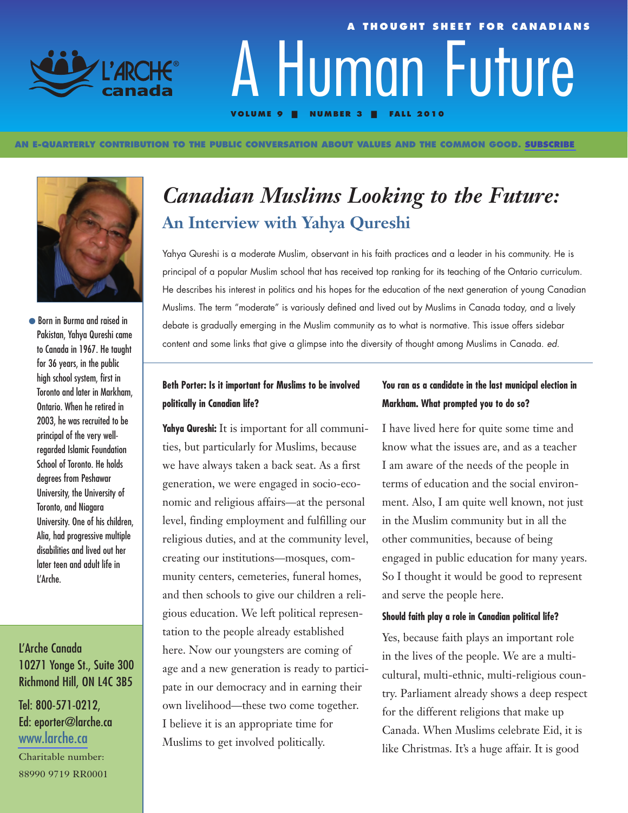

#### **AN E-QUARTERLY CONTRIBUTION TO THE PUBLIC CONVERSATION ABOUT VALUES AND THE COMMON GOOD. [SUBSCRIBE](http://visitor.r20.constantcontact.com/manage/optin/ea?v=001hKHmuNj9Yg2l9fEgT_V90Q%3D%3D)**



● Born in Burma and raised in Pakistan, Yahya Qureshi came to Canada in 1967. He taught for 36 years, in the public high school system, first in Toronto and later in Markham, Ontario. When he retired in 2003, he was recruited to be principal of the very wellregarded Islamic Foundation School of Toronto. He holds degrees from Peshawar University, the University of Toronto, and Niagara University. One of his children, Alia, had progressive multiple disabilities and lived out her later teen and adult life in L'Arche.

## L'Arche Canada 10271 Yonge St., Suite 300 Richmond Hill, ON L4C 3B5

### Tel: 800-571-0212, Ed: eporter@larche.ca [www.larche.ca](http://www.larche.ca/)

Charitable number: 88990 9719 RR0001

# *Canadian Muslims Looking to the Future:*  **An Interview with Yahya Qureshi**

**VOLUME 9 | NUMBER 3 | FALL 2010**

A Human Future

**A THOUGHT SHEET FOR CANADIANS**

Yahya Qureshi is a moderate Muslim, observant in his faith practices and a leader in his community. He is principal of a popular Muslim school that has received top ranking for its teaching of the Ontario curriculum. He describes his interest in politics and his hopes for the education of the next generation of young Canadian Muslims. The term "moderate" is variously defined and lived out by Muslims in Canada today, and a lively debate is gradually emerging in the Muslim community as to what is normative. This issue offers sidebar content and some links that give a glimpse into the diversity of thought among Muslims in Canada. ed.

### **Beth Porter: Is it important for Muslims to be involved politically in Canadian life?**

**Yahya Qureshi:** It is important for all communities, but particularly for Muslims, because we have always taken a back seat. As a first generation, we were engaged in socio-economic and religious affairs—at the personal level, finding employment and fulfilling our religious duties, and at the community level, creating our institutions—mosques, community centers, cemeteries, funeral homes, and then schools to give our children a religious education. We left political representation to the people already established here. Now our youngsters are coming of age and a new generation is ready to participate in our democracy and in earning their own livelihood—these two come together. I believe it is an appropriate time for Muslims to get involved politically.

### **You ran as a candidate in the last municipal election in Markham. What prompted you to do so?**

I have lived here for quite some time and know what the issues are, and as a teacher I am aware of the needs of the people in terms of education and the social environment. Also, I am quite well known, not just in the Muslim community but in all the other communities, because of being engaged in public education for many years. So I thought it would be good to represent and serve the people here.

#### **Should faith play a role in Canadian political life?**

Yes, because faith plays an important role in the lives of the people. We are a multicultural, multi-ethnic, multi-religious country. Parliament already shows a deep respect for the different religions that make up Canada. When Muslims celebrate Eid, it is like Christmas. It's a huge affair. It is good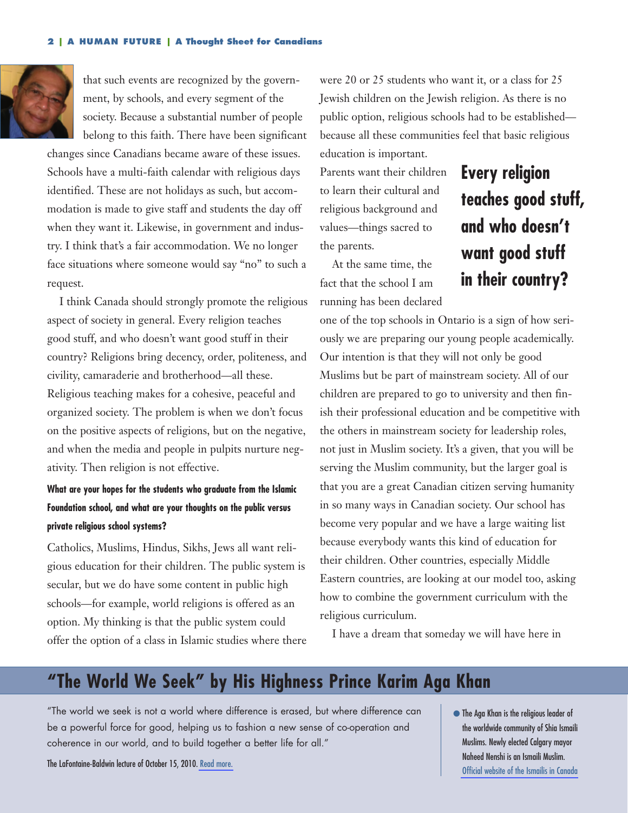

that such events are recognized by the government, by schools, and every segment of the society. Because a substantial number of people belong to this faith. There have been significant

changes since Canadians became aware of these issues. Schools have a multi-faith calendar with religious days identified. These are not holidays as such, but accommodation is made to give staff and students the day off when they want it. Likewise, in government and industry. I think that's a fair accommodation. We no longer face situations where someone would say "no" to such a request.

I think Canada should strongly promote the religious aspect of society in general. Every religion teaches good stuff, and who doesn't want good stuff in their country? Religions bring decency, order, politeness, and civility, camaraderie and brotherhood—all these. Religious teaching makes for a cohesive, peaceful and organized society. The problem is when we don't focus on the positive aspects of religions, but on the negative, and when the media and people in pulpits nurture negativity. Then religion is not effective.

### **What are your hopes for the students who graduate from the Islamic Foundation school, and what are your thoughts on the public versus private religious school systems?**

Catholics, Muslims, Hindus, Sikhs, Jews all want religious education for their children. The public system is secular, but we do have some content in public high schools—for example, world religions is offered as an option. My thinking is that the public system could offer the option of a class in Islamic studies where there

were 20 or 25 students who want it, or a class for 25 Jewish children on the Jewish religion. As there is no public option, religious schools had to be established because all these communities feel that basic religious

Parents want their children to learn their cultural and religious background and values—things sacred to the parents.

education is important.

At the same time, the fact that the school I am running has been declared

# **Every religion teaches good stuff, and who doesn't want good stuff in their country?**

one of the top schools in Ontario is a sign of how seriously we are preparing our young people academically. Our intention is that they will not only be good Muslims but be part of mainstream society. All of our children are prepared to go to university and then finish their professional education and be competitive with the others in mainstream society for leadership roles, not just in Muslim society. It's a given, that you will be serving the Muslim community, but the larger goal is that you are a great Canadian citizen serving humanity in so many ways in Canadian society. Our school has become very popular and we have a large waiting list because everybody wants this kind of education for their children. Other countries, especially Middle Eastern countries, are looking at our model too, asking how to combine the government curriculum with the religious curriculum.

I have a dream that someday we will have here in

## **"The World We Seek" by His Highness Prince Karim Aga Khan**

"The world we seek is not a world where difference is erased, but where difference can be a powerful force for good, helping us to fashion a new sense of co-operation and coherence in our world, and to build together a better life for all."

The LaFontaine-Baldwin lecture of October 15, 2010. [Read more.](http://www.theglobeandmail.com/news/national/toronto/verbatim-the-aga-khans-lafontaine-baldwin-lecture/article1759821/)

● The Aga Khan is the religious leader of the worldwide community of Shia Ismaili Muslims. Newly elected Calgary mayor Naheed Nenshi is an Ismaili Muslim. [Official website of the Ismailis in Canada](http://www.theismaili.org/)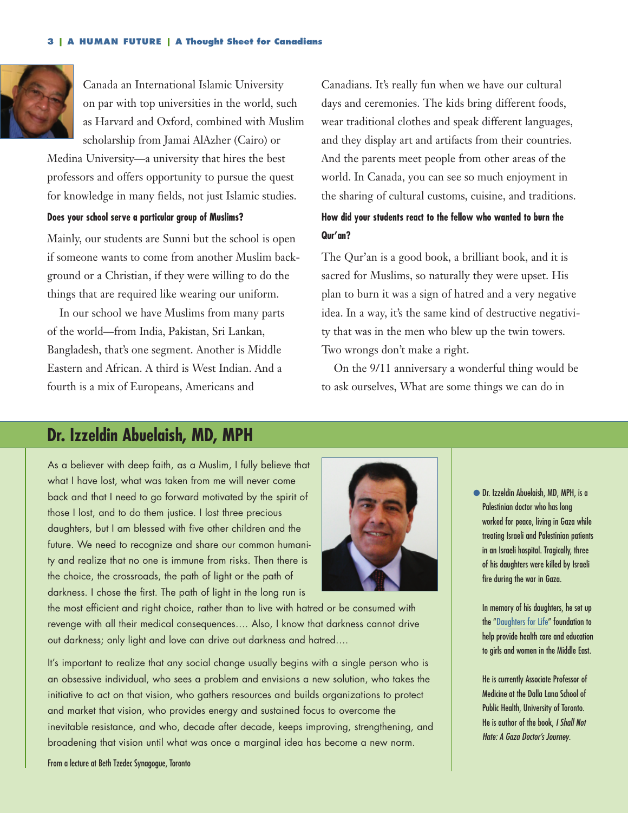

Canada an International Islamic University on par with top universities in the world, such as Harvard and Oxford, combined with Muslim scholarship from Jamai AlAzher (Cairo) or

Medina University—a university that hires the best professors and offers opportunity to pursue the quest for knowledge in many fields, not just Islamic studies.

#### **Does your school serve a particular group of Muslims?**

Mainly, our students are Sunni but the school is open if someone wants to come from another Muslim background or a Christian, if they were willing to do the things that are required like wearing our uniform.

In our school we have Muslims from many parts of the world—from India, Pakistan, Sri Lankan, Bangladesh, that's one segment. Another is Middle Eastern and African. A third is West Indian. And a fourth is a mix of Europeans, Americans and

Canadians. It's really fun when we have our cultural days and ceremonies. The kids bring different foods, wear traditional clothes and speak different languages, and they display art and artifacts from their countries. And the parents meet people from other areas of the world. In Canada, you can see so much enjoyment in the sharing of cultural customs, cuisine, and traditions.

### **How did your students react to the fellow who wanted to burn the Qur'an?**

The Qur'an is a good book, a brilliant book, and it is sacred for Muslims, so naturally they were upset. His plan to burn it was a sign of hatred and a very negative idea. In a way, it's the same kind of destructive negativity that was in the men who blew up the twin towers. Two wrongs don't make a right.

On the 9/11 anniversary a wonderful thing would be to ask ourselves, What are some things we can do in

## **Dr. Izzeldin Abuelaish, MD, MPH**

As a believer with deep faith, as a Muslim, I fully believe that what I have lost, what was taken from me will never come back and that I need to go forward motivated by the spirit of those I lost, and to do them justice. I lost three precious daughters, but I am blessed with five other children and the future. We need to recognize and share our common humanity and realize that no one is immune from risks. Then there is the choice, the crossroads, the path of light or the path of darkness. I chose the first. The path of light in the long run is



the most efficient and right choice, rather than to live with hatred or be consumed with revenge with all their medical consequences…. Also, I know that darkness cannot drive out darkness; only light and love can drive out darkness and hatred….

It's important to realize that any social change usually begins with a single person who is an obsessive individual, who sees a problem and envisions a new solution, who takes the initiative to act on that vision, who gathers resources and builds organizations to protect and market that vision, who provides energy and sustained focus to overcome the inevitable resistance, and who, decade after decade, keeps improving, strengthening, and broadening that vision until what was once a marginal idea has become a new norm.

● Dr. Izzeldin Abuelaish, MD, MPH, is a Palestinian doctor who has long worked for peace, living in Gaza while treating Israeli and Palestinian patients in an Israeli hospital. Tragically, three of his daughters were killed by Israeli fire during the war in Gaza.

In m[emory of his daugh](http://www.daughtersforlife.com/)ters, he set up the "Daughters for Life" foundation to help provide health care and education to girls and women in the Middle East.

He is currently Associate Professor of Medicine at the Dalla Lana School of Public Health, University of Toronto. He is author of the book, I Shall Not Hate: A Gaza Doctor's Journey.

From a lecture at Beth Tzedec Synagogue, Toronto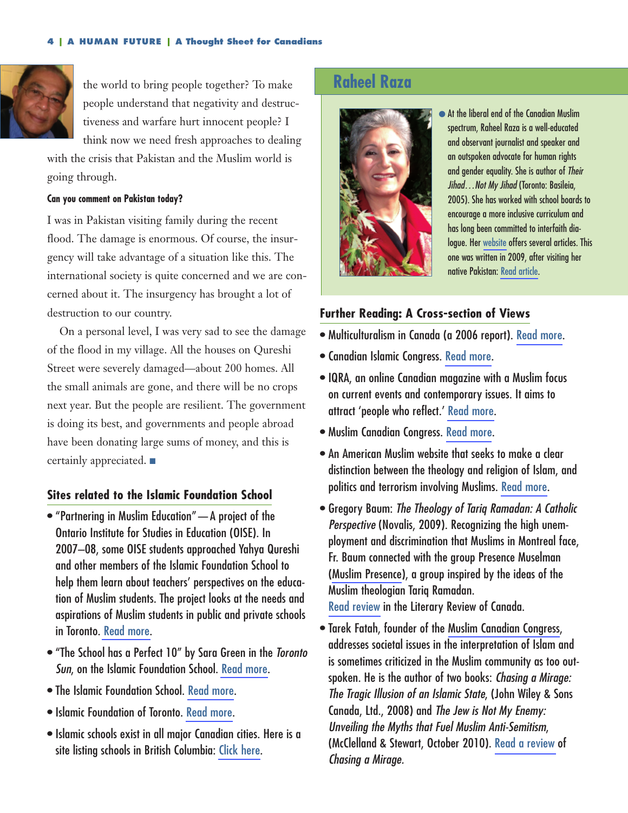

the world to bring people together? To make people understand that negativity and destructiveness and warfare hurt innocent people? I think now we need fresh approaches to dealing

with the crisis that Pakistan and the Muslim world is going through.

#### **Can you comment on Pakistan today?**

I was in Pakistan visiting family during the recent flood. The damage is enormous. Of course, the insurgency will take advantage of a situation like this. The international society is quite concerned and we are concerned about it. The insurgency has brought a lot of destruction to our country.

On a personal level, I was very sad to see the damage of the flood in my village. All the houses on Qureshi Street were severely damaged—about 200 homes. All the small animals are gone, and there will be no crops next year. But the people are resilient. The government is doing its best, and governments and people abroad have been donating large sums of money, and this is certainly appreciated. ■

#### **Sites related to the Islamic Foundation School**

- "Partnering in Muslim Education"—A project of the Ontario Institute for Studies in Education (OISE). In 2007–08, some OISE students approached Yahya Qureshi and other members of the Islamic Foundation School to help them learn about teachers' perspectives on the education of Muslim students. The project looks at the needs and aspirations of Muslim students in public and private schools in Toronto. [Read more.](http://www.oise.utoronto.ca/oise/UserFiles/File/OISE_annual%20report_2007_2008.pdf)
- "The School has a Perfect 10" by Sara Green in the Toronto Sun, on the Islamic Foundation School. [Read more.](http://www.islamicfoundation.ca/media.aspx)
- The Islamic Foundation School. [Read more](http://www.myifs.ca/index.php?option=com_content&view=frontpage&Itemid=1).
- Islamic Foundation of Toronto. [Read more.](http://www.islamicfoundation.ca/)
- Islamic schools exist in all major Canadian cities. Here is a site listing schools in British Columbia: [Click here.](http://www.bcmuslims.com/organization/schools.do)

## **Raheel Raza**



● At the liberal end of the Canadian Muslim spectrum, Raheel Raza is a well-educated and observant journalist and speaker and an outspoken advocate for human rights and gender equality. She is author of Their Jihad...Not My Jihad (Toronto: Basileia, 2005). She has worked with school boards to encourage a more inclusive curriculum and has long been committed to interfaith dialogue. Her [website](http://www.raheelraza.com/about.htm) offers several articles. This one was written in 2009, after visiting her native Pakistan: [Read article.](http://www.themarknews.com/articles/260-pakistan-in-crisis-a-shared-responsibility)

#### **Further Reading: A Cross-section of Views**

- Multiculturalism in Canada (a 2006 report). [Read more.](http://www2.parl.gc.ca/content/lop/researchpublications/936-e.htm)
- Canadian Islamic Congress. [Read more](http://www.canadianislamiccongress.com/cic2010/).
- IQRA, an online Canadian magazine with a Muslim focus on current events and contemporary issues. It aims to attract 'people who reflect.' [Read more.](http://iqra.ca/?page_id=2#ixzz12fpzK8gj)
- Muslim Canadian Congress. [Read more.](http://www.muslimcanadiancongress.org/)
- An American Muslim website that seeks to make a clear distinction between the theology and religion of Islam, and politics and terrorism involving Muslims. [Read more.](http://www.islamfortoday.com/about.htm)
- Gregory Baum: The Theology of Tariq Ramadan: A Catholic Perspective (Novalis, 2009). Recognizing the high unemployment and discrimination that Muslims in Montreal face, Fr. Baum connected with the group Presence Muselman ([Muslim Presence\)](http://muslimpresence.com/?p=3348), a group inspired by the ideas of the Muslim theologian Tariq Ramadan. [Read review](http://reviewcanada.ca/reviews/2010/01/01/the-real-tariq-ramadan/) in the Literary Review of Canada.
- Tarek Fatah, founder of the [Muslim Canadian Congress](http://www.muslimcanadiancongress.org/), addresses societal issues in the interpretation of Islam and is sometimes criticized in the Muslim community as too outspoken. He is the author of two books: Chasing a Mirage: The Tragic Illusion of an Islamic State, (John Wiley & Sons Canada, Ltd., 2008) and The Jew is Not My Enemy: Unveiling the Myths that Fuel Muslim Anti-Semitism, (McClelland & Stewart, October 2010). [Read a review](http://islamuswest.org/books_Islam_and_the_West/Chasing_A_Mirage.html#top) of Chasing a Mirage.